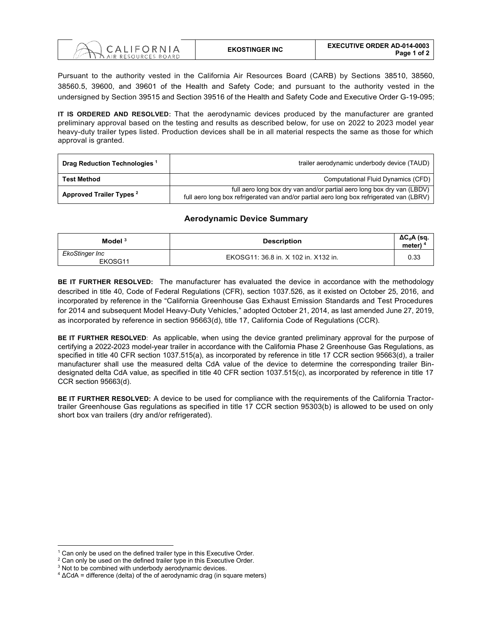

Pursuant to the authority vested in the California Air Resources Board (CARB) by Sections 38510, 38560, 38560.5, 39600, and 39601 of the Health and Safety Code; and pursuant to the authority vested in the undersigned by Section 39515 and Section 39516 of the Health and Safety Code and Executive Order G-19-095;

**IT IS ORDERED AND RESOLVED:** That the aerodynamic devices produced by the manufacturer are granted preliminary approval based on the testing and results as described below, for use on 2022 to 2023 model year heavy-duty trailer types listed. Production devices shall be in all material respects the same as those for which approval is granted.

| Drag Reduction Technologies <sup>1</sup> | trailer aerodynamic underbody device (TAUD)                                                                                                                        |
|------------------------------------------|--------------------------------------------------------------------------------------------------------------------------------------------------------------------|
| <b>Test Method</b>                       | Computational Fluid Dynamics (CFD)                                                                                                                                 |
| Approved Trailer Types <sup>2</sup>      | full aero long box dry van and/or partial aero long box dry van (LBDV)<br>full aero long box refrigerated van and/or partial aero long box refrigerated van (LBRV) |

## **Aerodynamic Device Summary**

| Model $3$                 | <b>Description</b>                   | $\Delta C_d$ A (sq.<br>meter) <sup>4</sup> |
|---------------------------|--------------------------------------|--------------------------------------------|
| EkoStinger Inc<br>EKOSG11 | EKOSG11: 36.8 in. X 102 in. X132 in. | 0.33                                       |

**BE IT FURTHER RESOLVED:** The manufacturer has evaluated the device in accordance with the methodology described in title 40, Code of Federal Regulations (CFR), section 1037.526, as it existed on October 25, 2016, and incorporated by reference in the "California Greenhouse Gas Exhaust Emission Standards and Test Procedures for 2014 and subsequent Model Heavy-Duty Vehicles," adopted October 21, 2014, as last amended June 27, 2019, as incorporated by reference in section 95663(d), title 17, California Code of Regulations (CCR).

**BE IT FURTHER RESOLVED**: As applicable, when using the device granted preliminary approval for the purpose of certifying a 2022-2023 model-year trailer in accordance with the California Phase 2 Greenhouse Gas Regulations, as specified in title 40 CFR section 1037.515(a), as incorporated by reference in title 17 CCR section 95663(d), a trailer manufacturer shall use the measured delta CdA value of the device to determine the corresponding trailer Bindesignated delta CdA value, as specified in title 40 CFR section 1037.515(c), as incorporated by reference in title 17 CCR section 95663(d).

**BE IT FURTHER RESOLVED:** A device to be used for compliance with the requirements of the California Tractortrailer Greenhouse Gas regulations as specified in title 17 CCR section 95303(b) is allowed to be used on only short box van trailers (dry and/or refrigerated).

 $1$  Can only be used on the defined trailer type in this Executive Order.

<sup>&</sup>lt;sup>2</sup> Can only be used on the defined trailer type in this Executive Order.

<sup>&</sup>lt;sup>3</sup> Not to be combined with underbody aerodynamic devices.

 $4 \Delta$ CdA = difference (delta) of the of aerodynamic drag (in square meters)